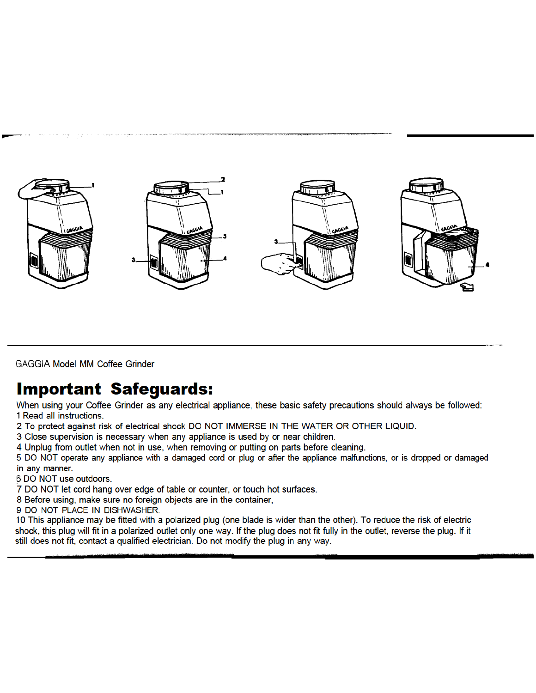

GAGGIA Model MM Coffee Grinder

## **Important Safeguards:**

When using your Coffee Grinder as any electrical appliance, these basic safety precautions should always be followed: 1 Read all instructions.

2 To protect against risk of electrical shock DO NOT IMMERSE IN THE WATER OR OTHER LIQUID.

3 Close supervision is necessary when any appliance is used by or near children.

4 Unplug from outlet when not in use, when removing or putting on parts before cleaning.

5 DO NOT operate any appliance with a damaged cord or plug or after the appliance malfunctions, or is dropped or damaged in any manner.

6 DO NOT use outdoors.

7 DO NOT let cord hang over edge of table or counter, or touch hot surfaces.

8 Before using, make sure no foreign objects are in the container,

9 DO NOT PLACE IN DISHWASHER.

10 This appliance may be fitted with a polarized plug (one blade is wider than the other). To reduce the risk of electric shock, this plug will fit in a polarized outlet only one way. If the plug does not fit fully in the outlet, reverse the plug. If it still does not fit, contact a qualified electrician. Do not modify the plug in any way.